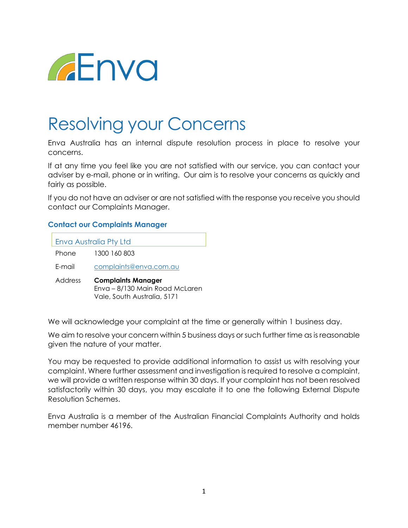

## Resolving your Concerns

Enva Australia has an internal dispute resolution process in place to resolve your concerns.

If at any time you feel like you are not satisfied with our service, you can contact your adviser by e-mail, phone or in writing. Our aim is to resolve your concerns as quickly and fairly as possible.

If you do not have an adviser or are not satisfied with the response you receive you should contact our Complaints Manager.

## **Contact our Complaints Manager**

| Enva Australia Pty Ltd |                                                                                            |
|------------------------|--------------------------------------------------------------------------------------------|
| Phone                  | 1300 160 803                                                                               |
| F-mail                 | complaints@enva.com.au                                                                     |
| Address                | <b>Complaints Manager</b><br>Enva - 8/130 Main Road McLaren<br>Vale, South Australia, 5171 |

We will acknowledge your complaint at the time or generally within 1 business day.

We aim to resolve your concern within 5 business days or such further time as is reasonable given the nature of your matter.

You may be requested to provide additional information to assist us with resolving your complaint. Where further assessment and investigation is required to resolve a complaint, we will provide a written response within 30 days. If your complaint has not been resolved satisfactorily within 30 days, you may escalate it to one the following External Dispute Resolution Schemes.

Enva Australia is a member of the Australian Financial Complaints Authority and holds member number 46196.